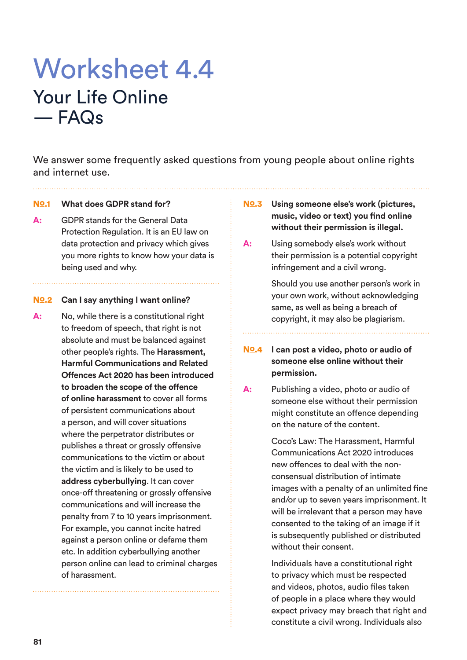## Worksheet 4.4 Your Life Online — FAQs

We answer some frequently asked questions from young people about online rights and internet use.

### No.1 **What does GDPR stand for?**

**A:** GDPR stands for the General Data Protection Regulation. It is an EU law on data protection and privacy which gives you more rights to know how your data is being used and why.

#### No.2 Can I say anything I want online?

**A:** No, while there is a constitutional right to freedom of speech, that right is not absolute and must be balanced against other people's rights. The **Harassment, Harmful Communications and Related Offences Act 2020 has been introduced to broaden the scope of the offence of online harassment** to cover all forms of persistent communications about a person, and will cover situations where the perpetrator distributes or publishes a threat or grossly offensive communications to the victim or about the victim and is likely to be used to **address cyberbullying**. It can cover once-off threatening or grossly offensive communications and will increase the penalty from 7 to 10 years imprisonment. For example, you cannot incite hatred against a person online or defame them etc. In addition cyberbullying another person online can lead to criminal charges of harassment.

- **No.3** Using someone else's work (pictures, **music, video or text) you find online without their permission is illegal.**
- **A:** Using somebody else's work without their permission is a potential copyright infringement and a civil wrong.

 Should you use another person's work in your own work, without acknowledging same, as well as being a breach of copyright, it may also be plagiarism.

## **No.4** I can post a video, photo or audio of **someone else online without their permission.**

**A:** Publishing a video, photo or audio of someone else without their permission might constitute an offence depending on the nature of the content.

> Coco's Law: The Harassment, Harmful Communications Act 2020 introduces new offences to deal with the nonconsensual distribution of intimate images with a penalty of an unlimited fine and/or up to seven years imprisonment. It will be irrelevant that a person may have consented to the taking of an image if it is subsequently published or distributed without their consent.

> Individuals have a constitutional right to privacy which must be respected and videos, photos, audio files taken of people in a place where they would expect privacy may breach that right and constitute a civil wrong. Individuals also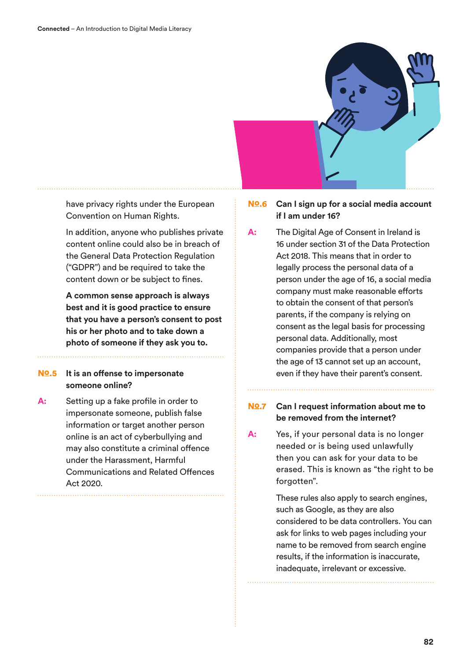

have privacy rights under the European Convention on Human Rights.

 In addition, anyone who publishes private content online could also be in breach of the General Data Protection Regulation ("GDPR") and be required to take the content down or be subject to fines.

 **A common sense approach is always best and it is good practice to ensure that you have a person's consent to post his or her photo and to take down a photo of someone if they ask you to.**

## **No.5** It is an offense to impersonate **someone online?**

**A:** Setting up a fake profile in order to impersonate someone, publish false information or target another person online is an act of cyberbullying and may also constitute a criminal offence under the Harassment, Harmful Communications and Related Offences Act 2020.

## **No.6** Can I sign up for a social media account **if I am under 16?**

**A:** The Digital Age of Consent in Ireland is 16 under section 31 of the Data Protection Act 2018. This means that in order to legally process the personal data of a person under the age of 16, a social media company must make reasonable efforts to obtain the consent of that person's parents, if the company is relying on consent as the legal basis for processing personal data. Additionally, most companies provide that a person under the age of 13 cannot set up an account, even if they have their parent's consent.

## **No.7** Can I request information about me to **be removed from the internet?**

**A:** Yes, if your personal data is no longer needed or is being used unlawfully then you can ask for your data to be erased. This is known as "the right to be forgotten".

> These rules also apply to search engines, such as Google, as they are also considered to be data controllers. You can ask for links to web pages including your name to be removed from search engine results, if the information is inaccurate, inadequate, irrelevant or excessive.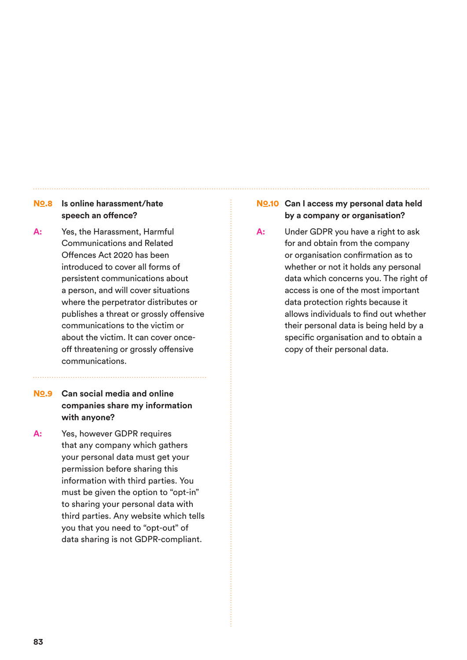## **No.8** Is online harassment/hate **speech an offence?**

**A:** Yes, the Harassment, Harmful Communications and Related Offences Act 2020 has been introduced to cover all forms of persistent communications about a person, and will cover situations where the perpetrator distributes or publishes a threat or grossly offensive communications to the victim or about the victim. It can cover onceoff threatening or grossly offensive communications.

## No.9 **Can social media and online companies share my information with anyone?**

**A:** Yes, however GDPR requires that any company which gathers your personal data must get your permission before sharing this information with third parties. You must be given the option to "opt-in" to sharing your personal data with third parties. Any website which tells you that you need to "opt-out" of data sharing is not GDPR-compliant.

## **No.10 Can I access my personal data held by a company or organisation?**

**A:** Under GDPR you have a right to ask for and obtain from the company or organisation confirmation as to whether or not it holds any personal data which concerns you. The right of access is one of the most important data protection rights because it allows individuals to find out whether their personal data is being held by a specific organisation and to obtain a copy of their personal data.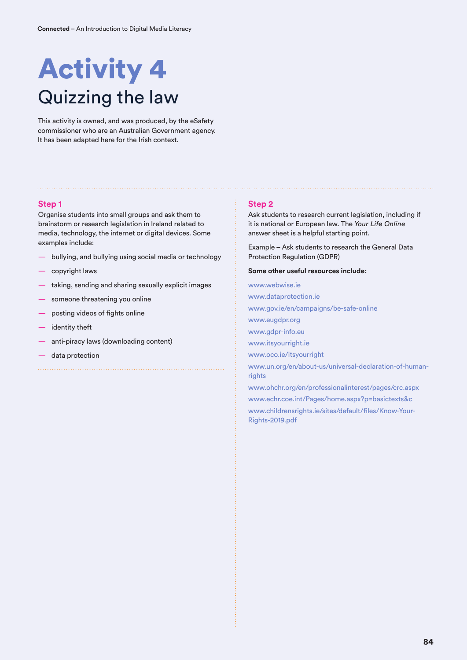# Activity 4 Quizzing the law

This activity is owned, and was produced, by the eSafety commissioner who are an Australian Government agency. It has been adapted here for the Irish context.

#### **Step 1**

Organise students into small groups and ask them to brainstorm or research legislation in Ireland related to media, technology, the internet or digital devices. Some examples include:

- bullying, and bullying using social media or technology
- copyright laws
- taking, sending and sharing sexually explicit images

- someone threatening you online
- posting videos of fights online
- identity theft
- anti-piracy laws (downloading content)
- data protection

#### **Step 2**

Ask students to research current legislation, including if it is national or European law. The *Your Life Online* answer sheet is a helpful starting point.

Example – Ask students to research the General Data Protection Regulation (GDPR)

**Some other useful resources include:**

www.webwise.ie www.dataprotection.ie www.gov.ie/en/campaigns/be-safe-online www.eugdpr.org www.gdpr-info.eu www.itsyourright.ie www.oco.ie/itsyourright www.un.org/en/about-us/universal-declaration-of-humanrights www.ohchr.org/en/professionalinterest/pages/crc.aspx www.echr.coe.int/Pages/home.aspx?p=basictexts&c www.childrensrights.ie/sites/default/files/Know-Your-Rights-2019.pdf